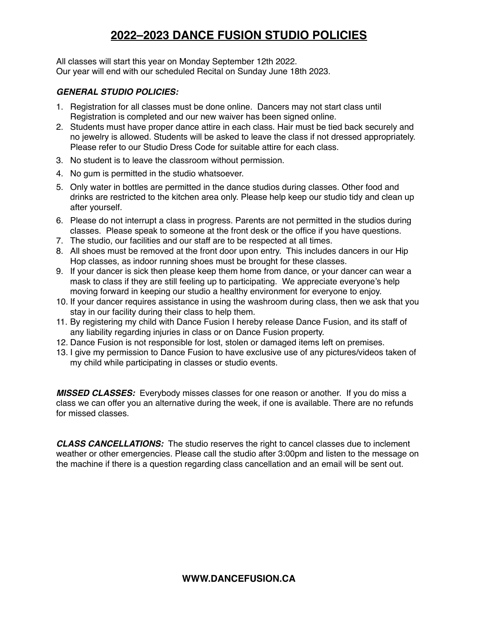# **2022–2023 DANCE FUSION STUDIO POLICIES**

All classes will start this year on Monday September 12th 2022. Our year will end with our scheduled Recital on Sunday June 18th 2023.

### *GENERAL STUDIO POLICIES:*

- 1. Registration for all classes must be done online. Dancers may not start class until Registration is completed and our new waiver has been signed online.
- 2. Students must have proper dance attire in each class. Hair must be tied back securely and no jewelry is allowed. Students will be asked to leave the class if not dressed appropriately. Please refer to our Studio Dress Code for suitable attire for each class.
- 3. No student is to leave the classroom without permission.
- 4. No gum is permitted in the studio whatsoever.
- 5. Only water in bottles are permitted in the dance studios during classes. Other food and drinks are restricted to the kitchen area only. Please help keep our studio tidy and clean up after yourself.
- 6. Please do not interrupt a class in progress. Parents are not permitted in the studios during classes. Please speak to someone at the front desk or the office if you have questions.
- 7. The studio, our facilities and our staff are to be respected at all times.
- 8. All shoes must be removed at the front door upon entry. This includes dancers in our Hip Hop classes, as indoor running shoes must be brought for these classes.
- 9. If your dancer is sick then please keep them home from dance, or your dancer can wear a mask to class if they are still feeling up to participating. We appreciate everyone's help moving forward in keeping our studio a healthy environment for everyone to enjoy.
- 10. If your dancer requires assistance in using the washroom during class, then we ask that you stay in our facility during their class to help them.
- 11. By registering my child with Dance Fusion I hereby release Dance Fusion, and its staff of any liability regarding injuries in class or on Dance Fusion property.
- 12. Dance Fusion is not responsible for lost, stolen or damaged items left on premises.
- 13. I give my permission to Dance Fusion to have exclusive use of any pictures/videos taken of my child while participating in classes or studio events.

*MISSED CLASSES:* Everybody misses classes for one reason or another. If you do miss a class we can offer you an alternative during the week, if one is available. There are no refunds for missed classes.

*CLASS CANCELLATIONS:* The studio reserves the right to cancel classes due to inclement weather or other emergencies. Please call the studio after 3:00pm and listen to the message on the machine if there is a question regarding class cancellation and an email will be sent out.